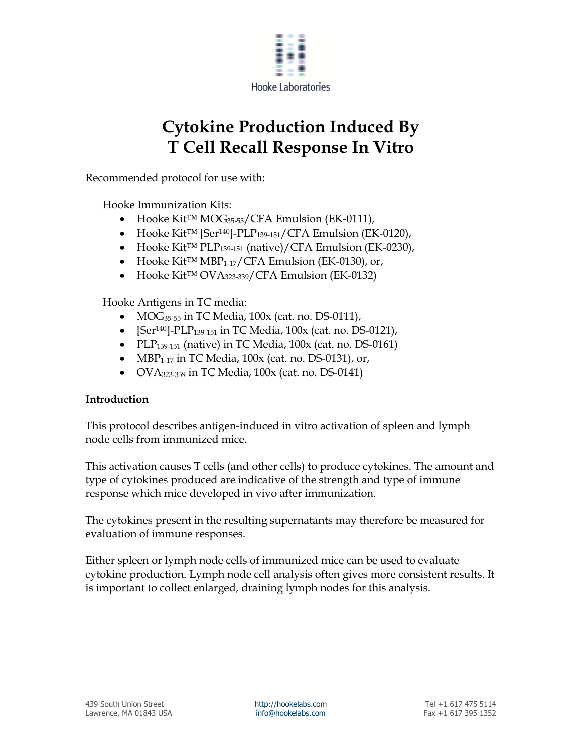

# **Cytokine Production Induced By T Cell Recall Response In Vitro**

Recommended protocol for use with:

Hooke Immunization Kits:

- Hooke Kit™ MOG35-55/CFA Emulsion (EK-0111),
- Hooke Kit™ [Ser140]-PLP139-151/CFA Emulsion (EK-0120),
- Hooke Kit™ PLP139-151 (native)/CFA Emulsion (EK-0230),
- Hooke Kit™ MBP1-17/CFA Emulsion (EK-0130), or,
- Hooke Kit™ OVA323-339/CFA Emulsion (EK-0132)

Hooke Antigens in TC media:

- $\bullet$  MOG<sub>35-55</sub> in TC Media, 100x (cat. no. DS-0111),
- [Ser<sup>140</sup>]-PLP<sub>139-151</sub> in TC Media, 100x (cat. no. DS-0121),
- PLP $_{139-151}$  (native) in TC Media, 100x (cat. no. DS-0161)
- MBP<sub>1-17</sub> in TC Media,  $100x$  (cat. no. DS-0131), or,
- $\bullet$  OVA $_{323-339}$  in TC Media, 100x (cat. no. DS-0141)

# **Introduction**

This protocol describes antigen-induced in vitro activation of spleen and lymph node cells from immunized mice.

This activation causes T cells (and other cells) to produce cytokines. The amount and type of cytokines produced are indicative of the strength and type of immune response which mice developed in vivo after immunization.

The cytokines present in the resulting supernatants may therefore be measured for evaluation of immune responses.

Either spleen or lymph node cells of immunized mice can be used to evaluate cytokine production. Lymph node cell analysis often gives more consistent results. It is important to collect enlarged, draining lymph nodes for this analysis.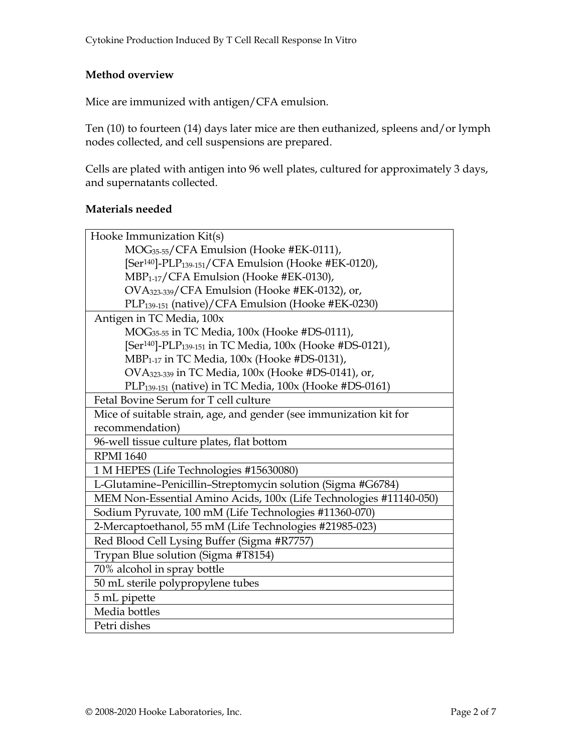## **Method overview**

Mice are immunized with antigen/CFA emulsion.

Ten (10) to fourteen (14) days later mice are then euthanized, spleens and/or lymph nodes collected, and cell suspensions are prepared.

Cells are plated with antigen into 96 well plates, cultured for approximately 3 days, and supernatants collected.

### **Materials needed**

| Hooke Immunization Kit(s)                                                        |  |  |  |
|----------------------------------------------------------------------------------|--|--|--|
| MOG <sub>35-55</sub> /CFA Emulsion (Hooke #EK-0111),                             |  |  |  |
| [Ser <sup>140</sup> ]-PLP <sub>139-151</sub> /CFA Emulsion (Hooke #EK-0120),     |  |  |  |
| MBP <sub>1-17</sub> /CFA Emulsion (Hooke #EK-0130),                              |  |  |  |
| OVA323-339/CFA Emulsion (Hooke #EK-0132), or,                                    |  |  |  |
| PLP <sub>139-151</sub> (native)/CFA Emulsion (Hooke #EK-0230)                    |  |  |  |
| Antigen in TC Media, 100x                                                        |  |  |  |
| MOG <sub>35-55</sub> in TC Media, 100x (Hooke #DS-0111),                         |  |  |  |
| [Ser <sup>140</sup> ]-PLP <sub>139-151</sub> in TC Media, 100x (Hooke #DS-0121), |  |  |  |
| MBP <sub>1-17</sub> in TC Media, 100x (Hooke #DS-0131),                          |  |  |  |
| OVA323-339 in TC Media, 100x (Hooke #DS-0141), or,                               |  |  |  |
| PLP <sub>139-151</sub> (native) in TC Media, 100x (Hooke #DS-0161)               |  |  |  |
| Fetal Bovine Serum for T cell culture                                            |  |  |  |
| Mice of suitable strain, age, and gender (see immunization kit for               |  |  |  |
| recommendation)                                                                  |  |  |  |
| 96-well tissue culture plates, flat bottom                                       |  |  |  |
| <b>RPMI 1640</b>                                                                 |  |  |  |
| 1 M HEPES (Life Technologies #15630080)                                          |  |  |  |
| L-Glutamine-Penicillin-Streptomycin solution (Sigma #G6784)                      |  |  |  |
| MEM Non-Essential Amino Acids, 100x (Life Technologies #11140-050)               |  |  |  |
| Sodium Pyruvate, 100 mM (Life Technologies #11360-070)                           |  |  |  |
| 2-Mercaptoethanol, 55 mM (Life Technologies #21985-023)                          |  |  |  |
| Red Blood Cell Lysing Buffer (Sigma #R7757)                                      |  |  |  |
| Trypan Blue solution (Sigma #T8154)                                              |  |  |  |
| 70% alcohol in spray bottle                                                      |  |  |  |
| 50 mL sterile polypropylene tubes                                                |  |  |  |
| 5 mL pipette                                                                     |  |  |  |
| Media bottles                                                                    |  |  |  |
| Petri dishes                                                                     |  |  |  |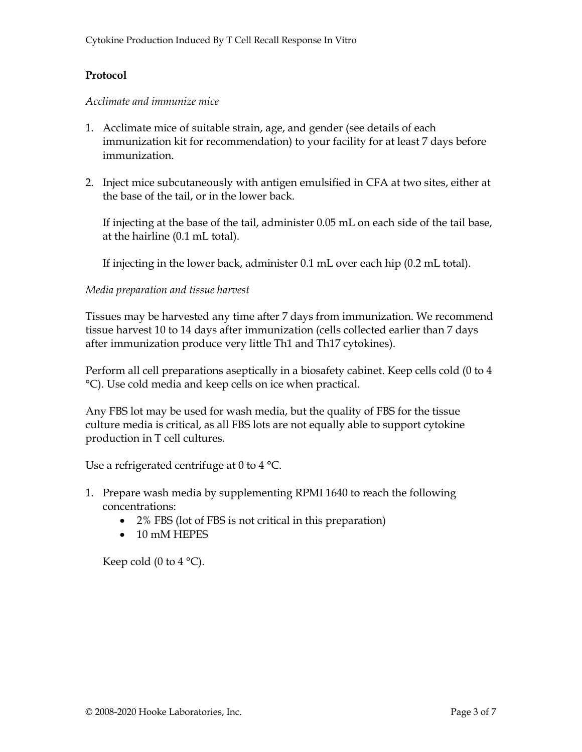## **Protocol**

#### *Acclimate and immunize mice*

- 1. Acclimate mice of suitable strain, age, and gender (see details of each immunization kit for recommendation) to your facility for at least 7 days before immunization.
- 2. Inject mice subcutaneously with antigen emulsified in CFA at two sites, either at the base of the tail, or in the lower back.

If injecting at the base of the tail, administer 0.05 mL on each side of the tail base, at the hairline (0.1 mL total).

If injecting in the lower back, administer 0.1 mL over each hip (0.2 mL total).

### *Media preparation and tissue harvest*

Tissues may be harvested any time after 7 days from immunization. We recommend tissue harvest 10 to 14 days after immunization (cells collected earlier than 7 days after immunization produce very little Th1 and Th17 cytokines).

Perform all cell preparations aseptically in a biosafety cabinet. Keep cells cold (0 to 4 °C). Use cold media and keep cells on ice when practical.

Any FBS lot may be used for wash media, but the quality of FBS for the tissue culture media is critical, as all FBS lots are not equally able to support cytokine production in T cell cultures.

Use a refrigerated centrifuge at 0 to 4 °C.

- 1. Prepare wash media by supplementing RPMI 1640 to reach the following concentrations:
	- 2% FBS (lot of FBS is not critical in this preparation)
	- 10 mM HEPES

Keep cold (0 to 4  $^{\circ}$ C).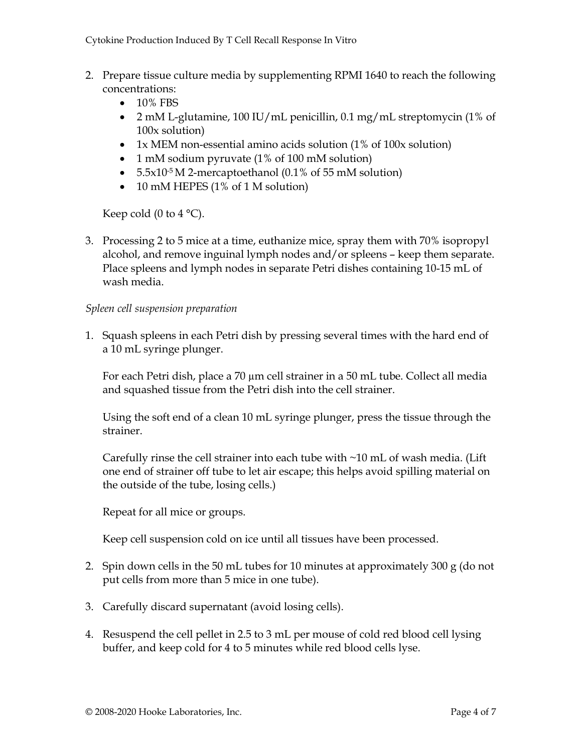- 2. Prepare tissue culture media by supplementing RPMI 1640 to reach the following concentrations:
	- $\bullet$  10% FBS
	- 2 mM L-glutamine, 100 IU/mL penicillin, 0.1 mg/mL streptomycin (1% of 100x solution)
	- 1x MEM non-essential amino acids solution (1% of 100x solution)
	- 1 mM sodium pyruvate (1% of 100 mM solution)
	- $5.5x10^{-5}$  M 2-mercaptoethanol (0.1% of 55 mM solution)
	- 10 mM HEPES (1% of 1 M solution)

Keep cold (0 to 4  $^{\circ}$ C).

3. Processing 2 to 5 mice at a time, euthanize mice, spray them with 70% isopropyl alcohol, and remove inguinal lymph nodes and/or spleens – keep them separate. Place spleens and lymph nodes in separate Petri dishes containing 10-15 mL of wash media.

### *Spleen cell suspension preparation*

1. Squash spleens in each Petri dish by pressing several times with the hard end of a 10 mL syringe plunger.

For each Petri dish, place a 70 µm cell strainer in a 50 mL tube. Collect all media and squashed tissue from the Petri dish into the cell strainer.

Using the soft end of a clean 10 mL syringe plunger, press the tissue through the strainer.

Carefully rinse the cell strainer into each tube with  $\sim$ 10 mL of wash media. (Lift one end of strainer off tube to let air escape; this helps avoid spilling material on the outside of the tube, losing cells.)

Repeat for all mice or groups.

Keep cell suspension cold on ice until all tissues have been processed.

- 2. Spin down cells in the 50 mL tubes for 10 minutes at approximately 300 g (do not put cells from more than 5 mice in one tube).
- 3. Carefully discard supernatant (avoid losing cells).
- 4. Resuspend the cell pellet in 2.5 to 3 mL per mouse of cold red blood cell lysing buffer, and keep cold for 4 to 5 minutes while red blood cells lyse.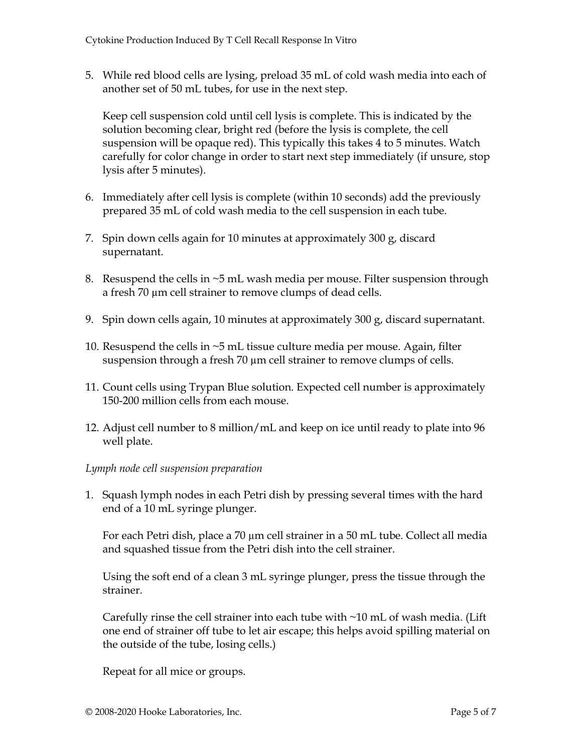5. While red blood cells are lysing, preload 35 mL of cold wash media into each of another set of 50 mL tubes, for use in the next step.

Keep cell suspension cold until cell lysis is complete. This is indicated by the solution becoming clear, bright red (before the lysis is complete, the cell suspension will be opaque red). This typically this takes 4 to 5 minutes. Watch carefully for color change in order to start next step immediately (if unsure, stop lysis after 5 minutes).

- 6. Immediately after cell lysis is complete (within 10 seconds) add the previously prepared 35 mL of cold wash media to the cell suspension in each tube.
- 7. Spin down cells again for 10 minutes at approximately 300 g, discard supernatant.
- 8. Resuspend the cells in  $\sim$ 5 mL wash media per mouse. Filter suspension through a fresh 70 µm cell strainer to remove clumps of dead cells.
- 9. Spin down cells again, 10 minutes at approximately 300 g, discard supernatant.
- 10. Resuspend the cells in ~5 mL tissue culture media per mouse. Again, filter suspension through a fresh 70  $\mu$ m cell strainer to remove clumps of cells.
- 11. Count cells using Trypan Blue solution. Expected cell number is approximately 150-200 million cells from each mouse.
- 12. Adjust cell number to 8 million/mL and keep on ice until ready to plate into 96 well plate.

### *Lymph node cell suspension preparation*

1. Squash lymph nodes in each Petri dish by pressing several times with the hard end of a 10 mL syringe plunger.

For each Petri dish, place a 70 µm cell strainer in a 50 mL tube. Collect all media and squashed tissue from the Petri dish into the cell strainer.

Using the soft end of a clean 3 mL syringe plunger, press the tissue through the strainer.

Carefully rinse the cell strainer into each tube with  $\sim$ 10 mL of wash media. (Lift one end of strainer off tube to let air escape; this helps avoid spilling material on the outside of the tube, losing cells.)

Repeat for all mice or groups.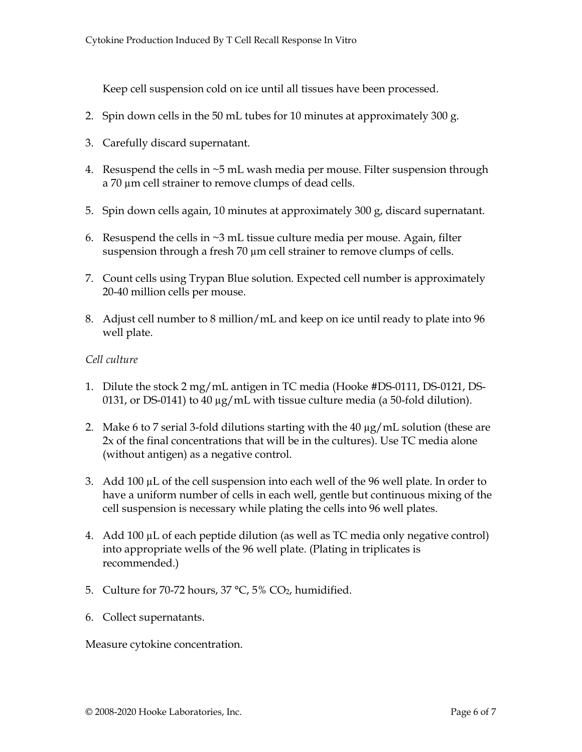Keep cell suspension cold on ice until all tissues have been processed.

- 2. Spin down cells in the 50 mL tubes for 10 minutes at approximately 300 g.
- 3. Carefully discard supernatant.
- 4. Resuspend the cells in ~5 mL wash media per mouse. Filter suspension through a 70  $\mu$ m cell strainer to remove clumps of dead cells.
- 5. Spin down cells again, 10 minutes at approximately 300 g, discard supernatant.
- 6. Resuspend the cells in  $\sim$ 3 mL tissue culture media per mouse. Again, filter suspension through a fresh 70  $\mu$ m cell strainer to remove clumps of cells.
- 7. Count cells using Trypan Blue solution. Expected cell number is approximately 20-40 million cells per mouse.
- 8. Adjust cell number to 8 million/mL and keep on ice until ready to plate into 96 well plate.

#### *Cell culture*

- 1. Dilute the stock 2 mg/mL antigen in TC media (Hooke #DS-0111, DS-0121, DS-0131, or DS-0141) to 40  $\mu$ g/mL with tissue culture media (a 50-fold dilution).
- 2. Make 6 to 7 serial 3-fold dilutions starting with the 40 µg/mL solution (these are 2x of the final concentrations that will be in the cultures). Use TC media alone (without antigen) as a negative control.
- 3. Add 100  $\mu$ L of the cell suspension into each well of the 96 well plate. In order to have a uniform number of cells in each well, gentle but continuous mixing of the cell suspension is necessary while plating the cells into 96 well plates.
- 4. Add 100 µL of each peptide dilution (as well as TC media only negative control) into appropriate wells of the 96 well plate. (Plating in triplicates is recommended.)
- 5. Culture for 70-72 hours,  $37 \text{ °C}$ ,  $5\%$  CO<sub>2</sub>, humidified.
- 6. Collect supernatants.

Measure cytokine concentration.